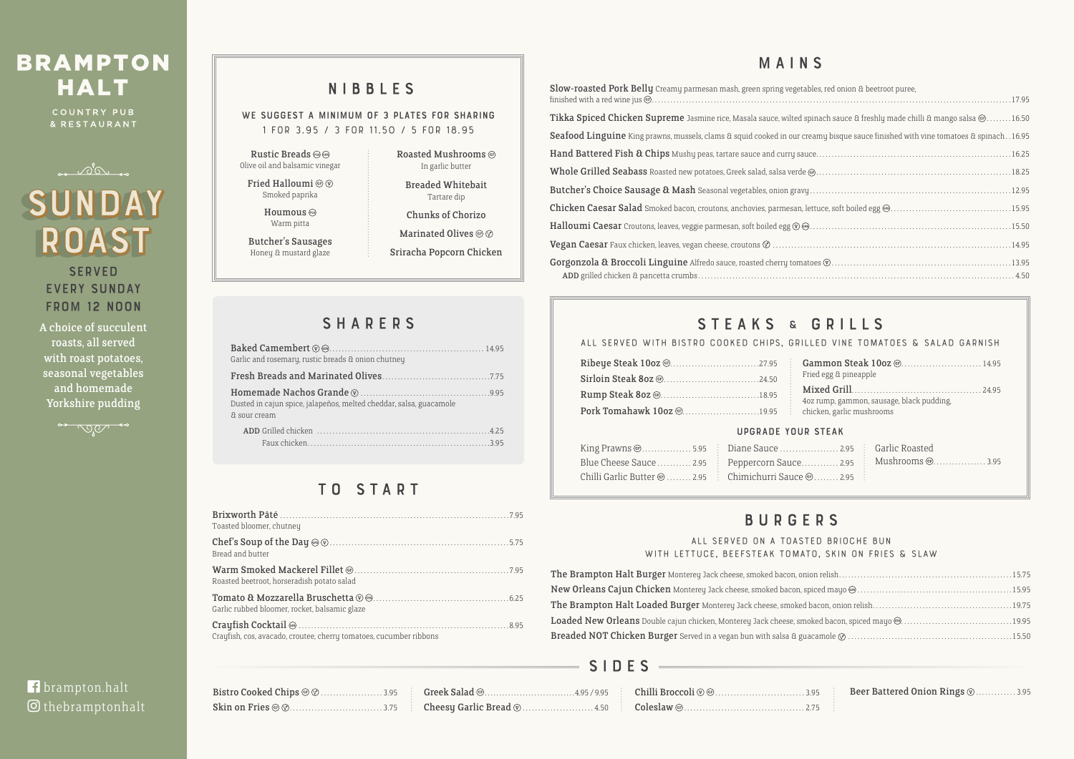# **BRAMPTON HALT**

COUNTRY PUB & RESTAURANT

| Bistro Cooked Chips @ $\oslash$ 3.95 [ Greek Salad @ |  |
|------------------------------------------------------|--|
|                                                      |  |

# **f** brampton.halt O thebramptonhalt

WE SUGGEST A MINIMUM OF 3 PLATES FOR SHARING **1 for 3.95 / 3 for 11.50 / 5 for 18.95**

### **All served on a toasted brioche bun**  WITH LETTUCE, BEEFSTEAK TOMAT

The Brampton Halt Burger Monterey Jack cheese, smoked bacon, onic New Orleans Cajun Chicken Monterey Jack cheese, smoked bacon, spi The Brampton Halt Loaded Burger Monterey Jack cheese, smoked b Loaded New Orleans Double cajun chicken, Monterey Jack cheese, smol Breaded NOT Chicken Burger Served in a vegan bun with salsa & gua

| Toasted bloomer, chutney                                           |
|--------------------------------------------------------------------|
| Bread and butter                                                   |
| Roasted beetroot, horseradish potato salad                         |
| Garlic rubbed bloomer, rocket, balsamic glaze                      |
| Crayfish, cos, avacado, croutee, cherry tomatoes, cucumber ribbons |

# NIBBLES

Rustic Breads Olive oil and balsamic vinegar

Fried Halloumi  $@$   $@$ 

Smoked paprika Houmous

Warm pitta

Butcher's Sausages Honey & mustard glaze

Roasted Mushrooms In garlic butter

Breaded Whitebait Tartare dip

Chunks of Chorizo

**Marinated Olives ® 8** 

Sriracha Popcorn Chicken

# **SHARERS**

# BURGERS

# MAINS

| EU DRIULME DUN          |
|-------------------------|
| O, SKIN ON FRIES & SLAW |
|                         |
|                         |
|                         |
|                         |
|                         |
|                         |

|    | 95 <b>Beer Battered Onion Rings V</b> .  3.95 |
|----|-----------------------------------------------|
| 75 |                                               |

**SERVED** EVERY SUNDAY from 12 Noon

| Slow-roasted Pork Belly Creamy parmesan mash, green spring vegetables, red onion & beetroot puree,                                       |
|------------------------------------------------------------------------------------------------------------------------------------------|
| Tikka Spiced Chicken Supreme Jasmine rice, Masala sauce, wilted spinach sauce & freshly made chilli & mango salsa @16.50                 |
| <b>Seafood Linguine</b> King prawns, mussels, clams & squid cooked in our creamy bisque sauce finished with vine tomatoes & spinach16.95 |
|                                                                                                                                          |
|                                                                                                                                          |
|                                                                                                                                          |
|                                                                                                                                          |
|                                                                                                                                          |
|                                                                                                                                          |
|                                                                                                                                          |
|                                                                                                                                          |

# STEAKS & GRILLS

| Garlic and rosemary, rustic breads & onion chutney                                 |
|------------------------------------------------------------------------------------|
|                                                                                    |
| Dusted in cajun spice, jalapeños, melted cheddar, salsa, guacamole<br>& sour cream |
|                                                                                    |

# TO START

## SIDES

|                                                     | ALL SERVED WITH BISTRO COOKED CHIPS, GRILLED VINE TOMATOES & SALAD GARNISH |
|-----------------------------------------------------|----------------------------------------------------------------------------|
|                                                     |                                                                            |
|                                                     | Fried egg & pineapple                                                      |
|                                                     | 4oz rump, gammon, sausage, black pudding,                                  |
| Pork Tomahawk 10oz @19.95 chicken, garlic mushrooms |                                                                            |
|                                                     |                                                                            |

### Upgrade your steak

| King Prawns @5.95 [ Diane Sauce 2.95 [ Garlic Roasted                                            |  |                                                                 |
|--------------------------------------------------------------------------------------------------|--|-----------------------------------------------------------------|
|                                                                                                  |  | Blue Cheese Sauce  2.95 Peppercorn Sauce  2.95 Mushrooms @ 3.95 |
| Chilli Garlic Butter $\circledcirc$ 2.95 $\vdots$ Chimichurri Sauce $\circledcirc$ 2.95 $\vdots$ |  |                                                                 |

A choice of succulent roasts, all served with roast potatoes, seasonal vegetables and homemade Yorkshire pudding